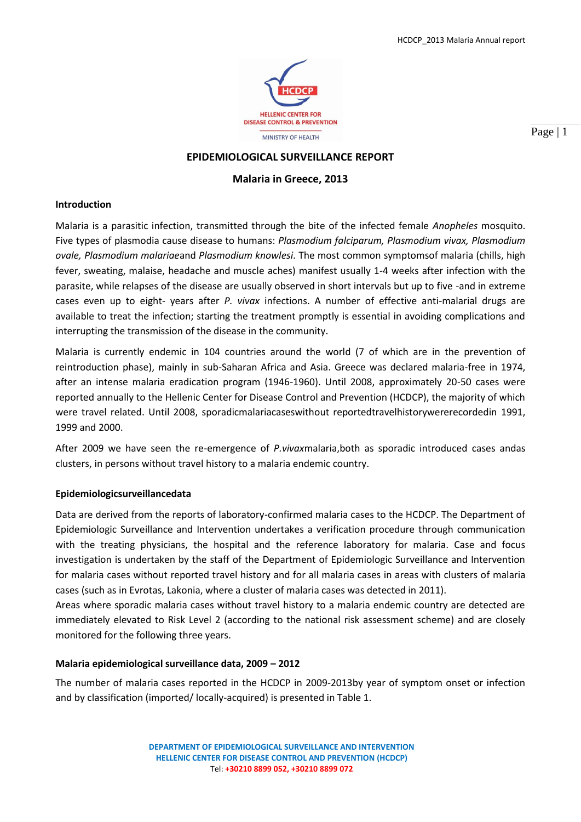

Page | 1

# **EPIDEMIOLOGICAL SURVEILLANCE REPORT**

# **Malaria in Greece, 2013**

#### **Introduction**

Malaria is a parasitic infection, transmitted through the bite of the infected female *Anopheles* mosquito. Five types of plasmodia cause disease to humans: *Plasmodium falciparum, Plasmodium vivax, Plasmodium ovale, Plasmodium malariae*and *Plasmodium knowlesi*. The most common symptomsof malaria (chills, high fever, sweating, malaise, headache and muscle aches) manifest usually 1-4 weeks after infection with the parasite, while relapses of the disease are usually observed in short intervals but up to five -and in extreme cases even up to eight- years after *P. vivax* infections. A number of effective anti-malarial drugs are available to treat the infection; starting the treatment promptly is essential in avoiding complications and interrupting the transmission of the disease in the community.

Malaria is currently endemic in 104 countries around the world (7 of which are in the prevention of reintroduction phase), mainly in sub-Saharan Africa and Asia. Greece was declared malaria-free in 1974, after an intense malaria eradication program (1946-1960). Until 2008, approximately 20-50 cases were reported annually to the Hellenic Center for Disease Control and Prevention (HCDCP), the majority of which were travel related. Until 2008, sporadicmalariacaseswithout reportedtravelhistorywererecordedin 1991, 1999 and 2000.

After 2009 we have seen the re-emergence of *P.vivax*malaria,both as sporadic introduced cases andas clusters, in persons without travel history to a malaria endemic country.

## **Epidemiologicsurveillancedata**

Data are derived from the reports of laboratory-confirmed malaria cases to the HCDCP. The Department of Epidemiologic Surveillance and Intervention undertakes a verification procedure through communication with the treating physicians, the hospital and the reference laboratory for malaria. Case and focus investigation is undertaken by the staff of the Department of Epidemiologic Surveillance and Intervention for malaria cases without reported travel history and for all malaria cases in areas with clusters of malaria cases (such as in Evrotas, Lakonia, where a cluster of malaria cases was detected in 2011).

Areas where sporadic malaria cases without travel history to a malaria endemic country are detected are immediately elevated to Risk Level 2 (according to the national risk assessment scheme) and are closely monitored for the following three years.

## **Malaria epidemiological surveillance data, 2009 – 2012**

The number of malaria cases reported in the HCDCP in 2009-2013by year of symptom onset or infection and by classification (imported/ locally-acquired) is presented in Table 1.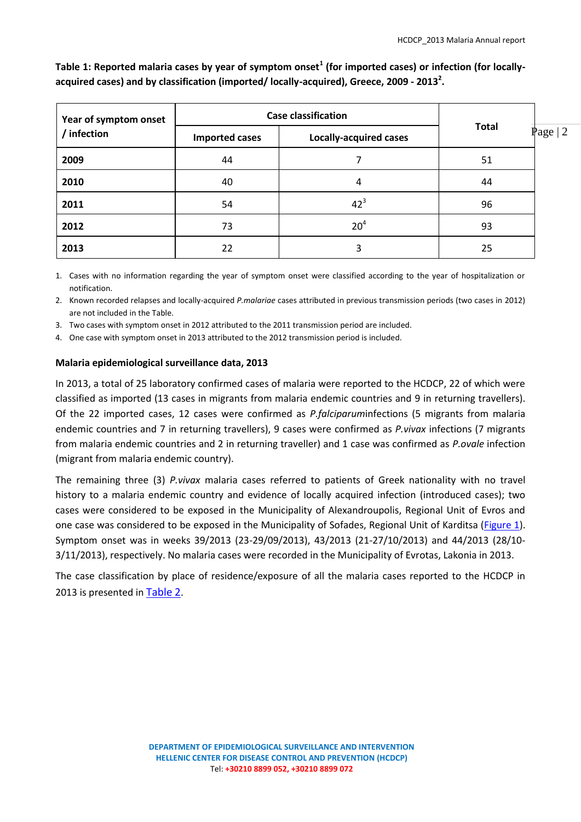| Year of symptom onset<br>/ infection | <b>Case classification</b> |                               |              |           |
|--------------------------------------|----------------------------|-------------------------------|--------------|-----------|
|                                      | <b>Imported cases</b>      | <b>Locally-acquired cases</b> | <b>Total</b> | Page $ 2$ |
| 2009                                 | 44                         |                               | 51           |           |
| 2010                                 | 40                         | 4                             | 44           |           |
| 2011                                 | 54                         | $42^3$                        | 96           |           |
| 2012                                 | 73                         | 20 <sup>4</sup>               | 93           |           |
| 2013                                 | 22                         |                               | 25           |           |

**Table 1: Reported malaria cases by year of symptom onset<sup>1</sup> (for imported cases) or infection (for locallyacquired cases) and by classification (imported/ locally-acquired), Greece, 2009 - 2013<sup>2</sup> .**

1. Cases with no information regarding the year of symptom onset were classified according to the year of hospitalization or notification.

2. Known recorded relapses and locally-acquired *P.malariae* cases attributed in previous transmission periods (two cases in 2012) are not included in the Table.

3. Two cases with symptom onset in 2012 attributed to the 2011 transmission period are included.

4. One case with symptom onset in 2013 attributed to the 2012 transmission period is included.

# **Malaria epidemiological surveillance data, 2013**

In 2013, a total of 25 laboratory confirmed cases of malaria were reported to the HCDCP, 22 of which were classified as imported (13 cases in migrants from malaria endemic countries and 9 in returning travellers). Of the 22 imported cases, 12 cases were confirmed as *P.falciparum*infections (5 migrants from malaria endemic countries and 7 in returning travellers), 9 cases were confirmed as *P.vivax* infections (7 migrants from malaria endemic countries and 2 in returning traveller) and 1 case was confirmed as *P.ovale* infection (migrant from malaria endemic country).

The remaining three (3) *P.vivax* malaria cases referred to patients of Greek nationality with no travel history to a malaria endemic country and evidence of locally acquired infection (introduced cases); two cases were considered to be exposed in the Municipality of Alexandroupolis, Regional Unit of Evros and one case was considered to be exposed in the Municipality of Sofades, Regional Unit of Karditsa (Figure 1). Symptom onset was in weeks 39/2013 (23-29/09/2013), 43/2013 (21-27/10/2013) and 44/2013 (28/10- 3/11/2013), respectively. No malaria cases were recorded in the Municipality of Evrotas, Lakonia in 2013.

<span id="page-1-0"></span>The case classification by place of residence/exposure of all the malaria cases reported to the HCDCP in 2013 is presented in [Table 2](#page-1-0).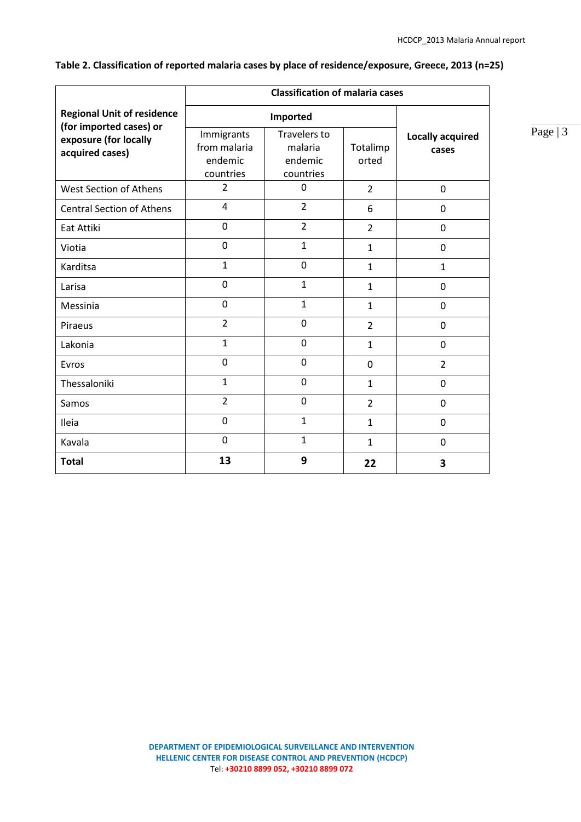|                                                              | <b>Classification of malaria cases</b>             |                                                        |                   |                                  |  |
|--------------------------------------------------------------|----------------------------------------------------|--------------------------------------------------------|-------------------|----------------------------------|--|
| <b>Regional Unit of residence</b><br>(for imported cases) or | Imported                                           |                                                        |                   |                                  |  |
| exposure (for locally<br>acquired cases)                     | Immigrants<br>from malaria<br>endemic<br>countries | <b>Travelers to</b><br>malaria<br>endemic<br>countries | Totalimp<br>orted | <b>Locally acquired</b><br>cases |  |
| <b>West Section of Athens</b>                                | $\overline{2}$                                     | 0                                                      | $\overline{2}$    | $\mathbf 0$                      |  |
| <b>Central Section of Athens</b>                             | 4                                                  | $\overline{2}$                                         | 6                 | $\mathbf 0$                      |  |
| Eat Attiki                                                   | 0                                                  | $\overline{2}$                                         | $\overline{2}$    | $\Omega$                         |  |
| Viotia                                                       | 0                                                  | $\mathbf{1}$                                           | $\mathbf{1}$      | $\mathbf 0$                      |  |
| Karditsa                                                     | $\mathbf{1}$                                       | 0                                                      | $\mathbf{1}$      | $\mathbf{1}$                     |  |
| Larisa                                                       | 0                                                  | $\mathbf{1}$                                           | $\mathbf{1}$      | $\Omega$                         |  |
| Messinia                                                     | 0                                                  | $\mathbf{1}$                                           | $\mathbf{1}$      | 0                                |  |
| Piraeus                                                      | $\overline{2}$                                     | $\mathbf 0$                                            | $\overline{2}$    | $\mathbf 0$                      |  |
| Lakonia                                                      | $\mathbf{1}$                                       | $\boldsymbol{0}$                                       | $\mathbf{1}$      | $\mathbf 0$                      |  |
| Evros                                                        | $\mathbf 0$                                        | $\mathbf 0$                                            | $\mathbf 0$       | $\overline{2}$                   |  |
| Thessaloniki                                                 | $\mathbf{1}$                                       | $\mathbf 0$                                            | $\mathbf{1}$      | $\Omega$                         |  |
| Samos                                                        | $\overline{2}$                                     | $\mathbf 0$                                            | $\overline{2}$    | $\mathbf 0$                      |  |
| Ileia                                                        | 0                                                  | $\mathbf{1}$                                           | $\mathbf{1}$      | $\mathbf 0$                      |  |
| Kavala                                                       | $\mathbf 0$                                        | $\mathbf{1}$                                           | $\mathbf{1}$      | $\Omega$                         |  |
| <b>Total</b>                                                 | 13                                                 | 9                                                      | 22                | 3                                |  |

**Table 2. Classification of reported malaria cases by place of residence/exposure, Greece, 2013 (n=25)**

# Page | 3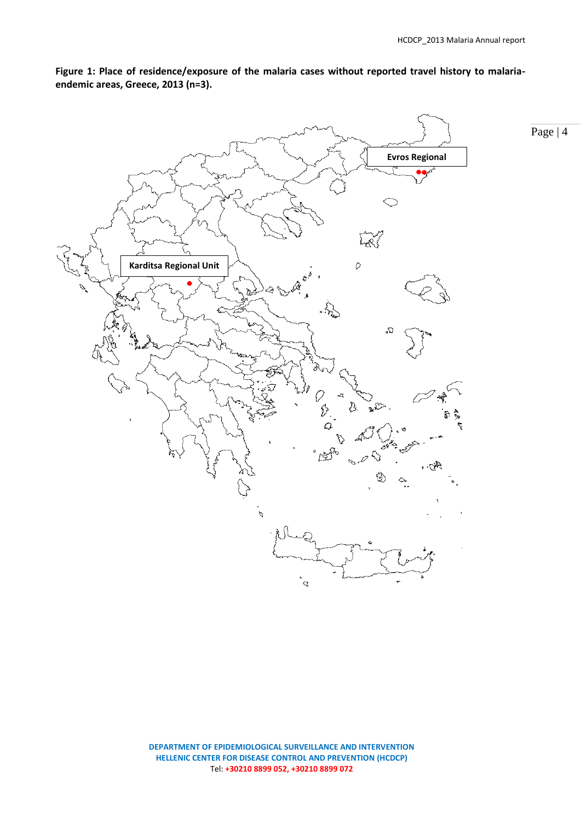Page | 4



**Figure 1: Place of residence/exposure of the malaria cases without reported travel history to malariaendemic areas, Greece, 2013 (n=3).** 

> **DEPARTMENT OF EPIDEMIOLOGICAL SURVEILLANCE AND INTERVENTION HELLENIC CENTER FOR DISEASE CONTROL AND PREVENTION (HCDCP)** Tel: **+30210 8899 052, +30210 8899 072**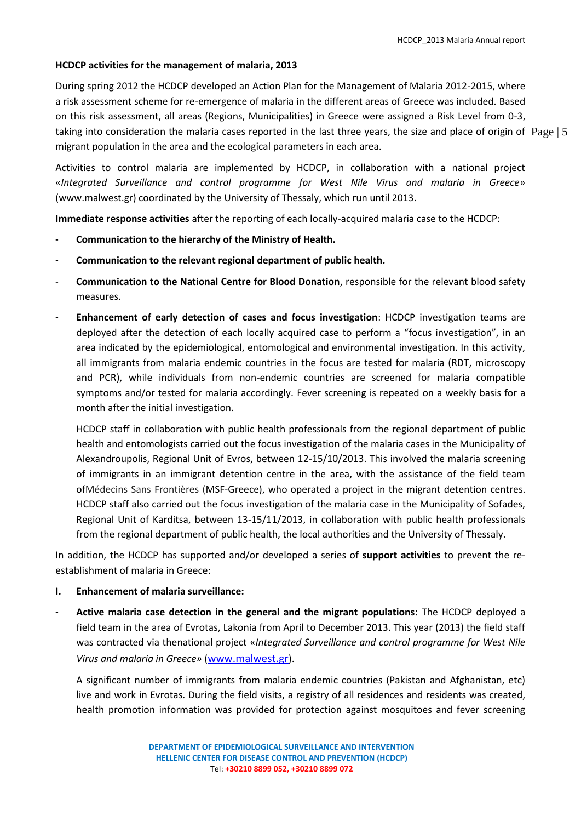#### **HCDCP activities for the management of malaria, 2013**

taking into consideration the malaria cases reported in the last three years, the size and place of origin of  $\rm~Page$  | 5 During spring 2012 the HCDCP developed an Action Plan for the Management of Malaria 2012-2015, where a risk assessment scheme for re-emergence of malaria in the different areas of Greece was included. Based on this risk assessment, all areas (Regions, Municipalities) in Greece were assigned a Risk Level from 0-3, migrant population in the area and the ecological parameters in each area.

Activities to control malaria are implemented by HCDCP, in collaboration with a national project «*Integrated Surveillance and control programme for West Nile Virus and malaria in Greece*» (www.malwest.gr) coordinated by the University of Thessaly, which run until 2013.

**Immediate response activities** after the reporting of each locally-acquired malaria case to the HCDCP:

- **Communication to the hierarchy of the Ministry of Health.**
- **Communication to the relevant regional department of public health.**
- **Communication to the National Centre for Blood Donation**, responsible for the relevant blood safety measures.
- **Enhancement of early detection of cases and focus investigation**: HCDCP investigation teams are deployed after the detection of each locally acquired case to perform a "focus investigation", in an area indicated by the epidemiological, entomological and environmental investigation. In this activity, all immigrants from malaria endemic countries in the focus are tested for malaria (RDT, microscopy and PCR), while individuals from non-endemic countries are screened for malaria compatible symptoms and/or tested for malaria accordingly. Fever screening is repeated on a weekly basis for a month after the initial investigation.

HCDCP staff in collaboration with public health professionals from the regional department of public health and entomologists carried out the focus investigation of the malaria cases in the Municipality of Alexandroupolis, Regional Unit of Evros, between 12-15/10/2013. This involved the malaria screening of immigrants in an immigrant detention centre in the area, with the assistance of the field team ofMédecins Sans Frontières (MSF-Greece), who operated a project in the migrant detention centres. HCDCP staff also carried out the focus investigation of the malaria case in the Municipality of Sofades, Regional Unit of Karditsa, between 13-15/11/2013, in collaboration with public health professionals from the regional department of public health, the local authorities and the University of Thessaly.

In addition, the HCDCP has supported and/or developed a series of **support activities** to prevent the reestablishment of malaria in Greece:

- **I. Enhancement of malaria surveillance:**
- **Active malaria case detection in the general and the migrant populations:** The HCDCP deployed a field team in the area of Evrotas, Lakonia from April to December 2013. This year (2013) the field staff was contracted via thenational project «*Integrated Surveillance and control programme for West Nile Virus and malaria in Greece»* ([www.malwest.gr](http://www.malwest.gr/)).

A significant number of immigrants from malaria endemic countries (Pakistan and Afghanistan, etc) live and work in Evrotas. During the field visits, a registry of all residences and residents was created, health promotion information was provided for protection against mosquitoes and fever screening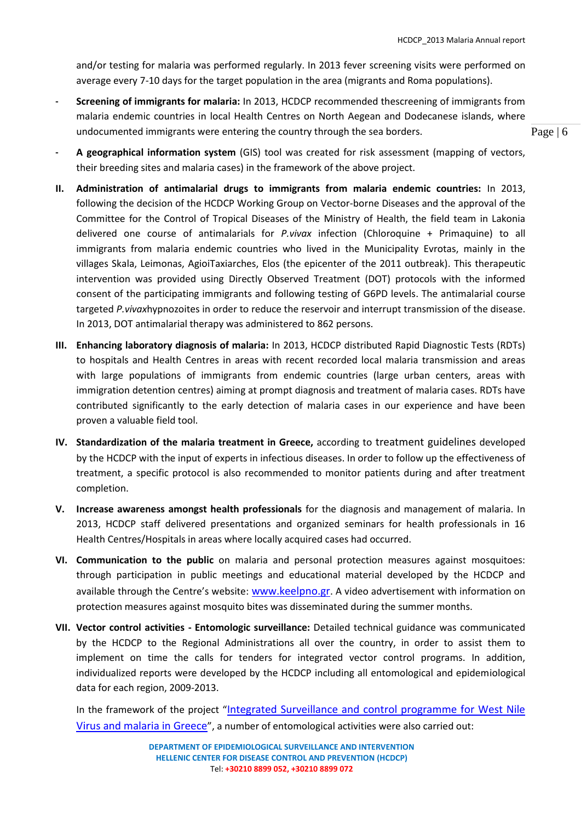and/or testing for malaria was performed regularly. In 2013 fever screening visits were performed on average every 7-10 days for the target population in the area (migrants and Roma populations).

- **Screening of immigrants for malaria:** In 2013, HCDCP recommended thescreening of immigrants from malaria endemic countries in local Health Centres on North Aegean and Dodecanese islands, where undocumented immigrants were entering the country through the sea borders.
- **A geographical information system** (GIS) tool was created for risk assessment (mapping of vectors, their breeding sites and malaria cases) in the framework of the above project.
- **II. Administration of antimalarial drugs to immigrants from malaria endemic countries:** In 2013, following the decision of the HCDCP Working Group on Vector-borne Diseases and the approval of the Committee for the Control of Tropical Diseases of the Ministry of Health, the field team in Lakonia delivered one course of antimalarials for *P.vivax* infection (Chloroquine + Primaquine) to all immigrants from malaria endemic countries who lived in the Municipality Evrotas, mainly in the villages Skala, Leimonas, AgioiTaxiarches, Elos (the epicenter of the 2011 outbreak). This therapeutic intervention was provided using Directly Observed Treatment (DOT) protocols with the informed consent of the participating immigrants and following testing of G6PD levels. The antimalarial course targeted *P.vivax*hypnozoites in order to reduce the reservoir and interrupt transmission of the disease. In 2013, DOT antimalarial therapy was administered to 862 persons.
- **III. Enhancing laboratory diagnosis of malaria:** In 2013, HCDCP distributed Rapid Diagnostic Tests (RDTs) to hospitals and Health Centres in areas with recent recorded local malaria transmission and areas with large populations of immigrants from endemic countries (large urban centers, areas with immigration detention centres) aiming at prompt diagnosis and treatment of malaria cases. RDTs have contributed significantly to the early detection of malaria cases in our experience and have been proven a valuable field tool.
- **IV. Standardization of the malaria treatment in Greece,** according to treatment guidelines developed by the HCDCP with the input of experts in infectious diseases. In order to follow up the effectiveness of treatment, a specific protocol is also recommended to monitor patients during and after treatment completion.
- **V. Increase awareness amongst health professionals** for the diagnosis and management of malaria. In 2013, HCDCP staff delivered presentations and organized seminars for health professionals in 16 Health Centres/Hospitals in areas where locally acquired cases had occurred.
- **VI. Communication to the public** on malaria and personal protection measures against mosquitoes: through participation in public meetings and educational material developed by the HCDCP and available through the Centre's website: [www.keelpno.gr](http://www.keelpno.gr/). A video advertisement with information on protection measures against mosquito bites was disseminated during the summer months.
- **VII. Vector control activities - Entomologic surveillance:** Detailed technical guidance was communicated by the HCDCP to the Regional Administrations all over the country, in order to assist them to implement on time the calls for tenders for integrated vector control programs. In addition, individualized reports were developed by the HCDCP including all entomological and epidemiological data for each region, 2009-2013.

In the framework of the project "[Integrated Surveillance and control programme for West Nile](http://www.malwest.gr/en-us/nsrf.aspx)  [Virus and malaria in Greece](http://www.malwest.gr/en-us/nsrf.aspx)", a number of entomological activities were also carried out: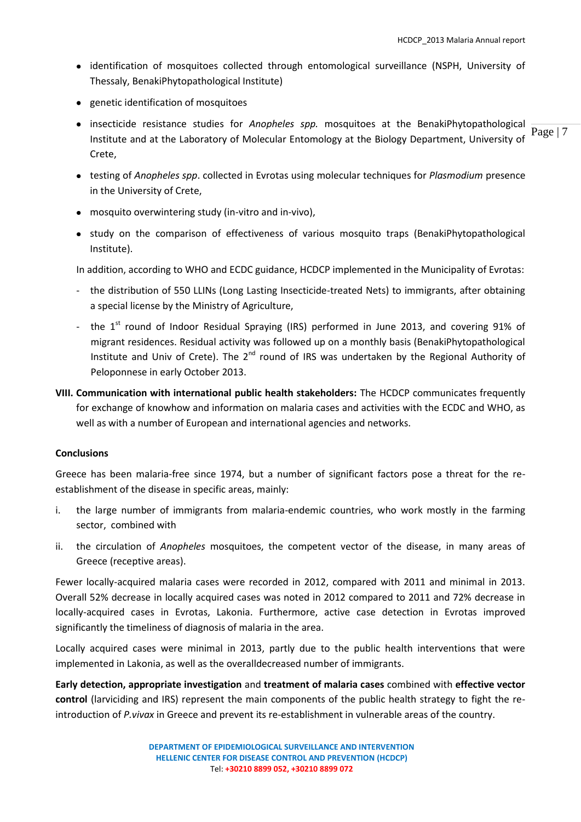- identification of mosquitoes collected through entomological surveillance (NSPH, University of Thessaly, BenakiPhytopathological Institute)
- genetic identification of mosquitoes
- Page | 7 insecticide resistance studies for *Anopheles spp.* mosquitoes at the BenakiPhytopathological Institute and at the Laboratory of Molecular Entomology at the Biology Department, University of Crete,
- testing of *Anopheles spp*. collected in Evrotas using molecular techniques for *Plasmodium* presence in the University of Crete,
- mosquito overwintering study (in-vitro and in-vivo),
- study on the comparison of effectiveness of various mosquito traps (BenakiPhytopathological Institute).

In addition, according to WHO and ECDC guidance, HCDCP implemented in the Municipality of Evrotas:

- the distribution of 550 LLINs (Long Lasting Insecticide-treated Nets) to immigrants, after obtaining a special license by the Ministry of Agriculture,
- the  $1<sup>st</sup>$  round of Indoor Residual Spraying (IRS) performed in June 2013, and covering 91% of migrant residences. Residual activity was followed up on a monthly basis (BenakiPhytopathological Institute and Univ of Crete). The 2<sup>nd</sup> round of IRS was undertaken by the Regional Authority of Peloponnese in early October 2013.
- **VIII. Communication with international public health stakeholders:** The HCDCP communicates frequently for exchange of knowhow and information on malaria cases and activities with the ECDC and WHO, as well as with a number of European and international agencies and networks.

## **Conclusions**

Greece has been malaria-free since 1974, but a number of significant factors pose a threat for the reestablishment of the disease in specific areas, mainly:

- i. the large number of immigrants from malaria-endemic countries, who work mostly in the farming sector, combined with
- ii. the circulation of *Anopheles* mosquitoes, the competent vector of the disease, in many areas of Greece (receptive areas).

Fewer locally-acquired malaria cases were recorded in 2012, compared with 2011 and minimal in 2013. Overall 52% decrease in locally acquired cases was noted in 2012 compared to 2011 and 72% decrease in locally-acquired cases in Evrotas, Lakonia. Furthermore, active case detection in Evrotas improved significantly the timeliness of diagnosis of malaria in the area.

Locally acquired cases were minimal in 2013, partly due to the public health interventions that were implemented in Lakonia, as well as the overalldecreased number of immigrants.

**Early detection, appropriate investigation** and **treatment of malaria cases** combined with **effective vector control** (larviciding and IRS) represent the main components of the public health strategy to fight the reintroduction of *P.vivax* in Greece and prevent its re-establishment in vulnerable areas of the country.